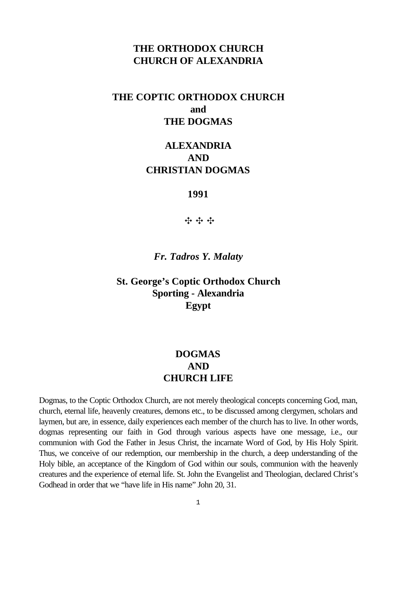## **THE ORTHODOX CHURCH CHURCH OF ALEXANDRIA**

# **THE COPTIC ORTHODOX CHURCH and THE DOGMAS**

## **ALEXANDRIA AND CHRISTIAN DOGMAS**

#### **1991**

中中中

*Fr. Tadros Y. Malaty*

## **St. George's Coptic Orthodox Church Sporting - Alexandria Egypt**

# **DOGMAS AND CHURCH LIFE**

Dogmas, to the Coptic Orthodox Church, are not merely theological concepts concerning God, man, church, eternal life, heavenly creatures, demons etc., to be discussed among clergymen, scholars and laymen, but are, in essence, daily experiences each member of the church has to live. In other words, dogmas representing our faith in God through various aspects have one message, i.e., our communion with God the Father in Jesus Christ, the incarnate Word of God, by His Holy Spirit. Thus, we conceive of our redemption, our membership in the church, a deep understanding of the Holy bible, an acceptance of the Kingdom of God within our souls, communion with the heavenly creatures and the experience of eternal life. St. John the Evangelist and Theologian, declared Christ's Godhead in order that we "have life in His name" John 20, 31.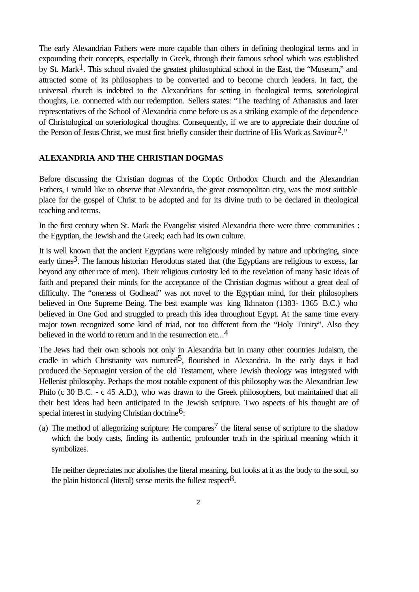The early Alexandrian Fathers were more capable than others in defining theological terms and in expounding their concepts, especially in Greek, through their famous school which was established by St. Mark<sup>1</sup>. This school rivaled the greatest philosophical school in the East, the "Museum," and attracted some of its philosophers to be converted and to become church leaders. In fact, the universal church is indebted to the Alexandrians for setting in theological terms, soteriological thoughts, i.e. connected with our redemption. Sellers states: "The teaching of Athanasius and later representatives of the School of Alexandria come before us as a striking example of the dependence of Christological on soteriological thoughts. Consequently, if we are to appreciate their doctrine of the Person of Jesus Christ, we must first briefly consider their doctrine of His Work as Saviour<sup>2</sup>."

### **ALEXANDRIA AND THE CHRISTIAN DOGMAS**

Before discussing the Christian dogmas of the Coptic Orthodox Church and the Alexandrian Fathers, I would like to observe that Alexandria, the great cosmopolitan city, was the most suitable place for the gospel of Christ to be adopted and for its divine truth to be declared in theological teaching and terms.

In the first century when St. Mark the Evangelist visited Alexandria there were three communities : the Egyptian, the Jewish and the Greek; each had its own culture.

It is well known that the ancient Egyptians were religiously minded by nature and upbringing, since early times<sup>3</sup>. The famous historian Herodotus stated that (the Egyptians are religious to excess, far beyond any other race of men). Their religious curiosity led to the revelation of many basic ideas of faith and prepared their minds for the acceptance of the Christian dogmas without a great deal of difficulty. The "oneness of Godhead" was not novel to the Egyptian mind, for their philosophers believed in One Supreme Being. The best example was king Ikhnaton (1383- 1365 B.C.) who believed in One God and struggled to preach this idea throughout Egypt. At the same time every major town recognized some kind of triad, not too different from the "Holy Trinity". Also they believed in the world to return and in the resurrection etc...<sup>4</sup>

The Jews had their own schools not only in Alexandria but in many other countries Judaism, the cradle in which Christianity was nurtured<sup>5</sup>, flourished in Alexandria. In the early days it had produced the Septuagint version of the old Testament, where Jewish theology was integrated with Hellenist philosophy. Perhaps the most notable exponent of this philosophy was the Alexandrian Jew Philo (c 30 B.C. - c 45 A.D.), who was drawn to the Greek philosophers, but maintained that all their best ideas had been anticipated in the Jewish scripture. Two aspects of his thought are of special interest in studying Christian doctrine<sup>6</sup>:

(a) The method of allegorizing scripture: He compares<sup>7</sup> the literal sense of scripture to the shadow which the body casts, finding its authentic, profounder truth in the spiritual meaning which it symbolizes.

He neither depreciates nor abolishes the literal meaning, but looks at it as the body to the soul, so the plain historical (literal) sense merits the fullest respect<sup>8</sup>.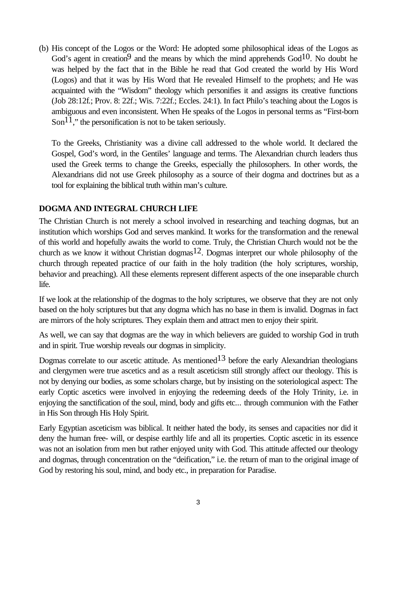(b) His concept of the Logos or the Word: He adopted some philosophical ideas of the Logos as God's agent in creation<sup>9</sup> and the means by which the mind apprehends  $God<sup>10</sup>$ . No doubt he was helped by the fact that in the Bible he read that God created the world by His Word (Logos) and that it was by His Word that He revealed Himself to the prophets; and He was acquainted with the "Wisdom" theology which personifies it and assigns its creative functions (Job 28:12f.; Prov. 8: 22f.; Wis. 7:22f.; Eccles. 24:1). In fact Philo's teaching about the Logos is ambiguous and even inconsistent. When He speaks of the Logos in personal terms as "First-born Son<sup>11</sup>," the personification is not to be taken seriously.

To the Greeks, Christianity was a divine call addressed to the whole world. It declared the Gospel, God's word, in the Gentiles' language and terms. The Alexandrian church leaders thus used the Greek terms to change the Greeks, especially the philosophers. In other words, the Alexandrians did not use Greek philosophy as a source of their dogma and doctrines but as a tool for explaining the biblical truth within man's culture.

### **DOGMA AND INTEGRAL CHURCH LIFE**

The Christian Church is not merely a school involved in researching and teaching dogmas, but an institution which worships God and serves mankind. It works for the transformation and the renewal of this world and hopefully awaits the world to come. Truly, the Christian Church would not be the church as we know it without Christian dogmas<sup>12</sup>. Dogmas interpret our whole philosophy of the church through repeated practice of our faith in the holy tradition (the holy scriptures, worship, behavior and preaching). All these elements represent different aspects of the one inseparable church life.

If we look at the relationship of the dogmas to the holy scriptures, we observe that they are not only based on the holy scriptures but that any dogma which has no base in them is invalid. Dogmas in fact are mirrors of the holy scriptures. They explain them and attract men to enjoy their spirit.

As well, we can say that dogmas are the way in which believers are guided to worship God in truth and in spirit. True worship reveals our dogmas in simplicity.

Dogmas correlate to our ascetic attitude. As mentioned<sup>13</sup> before the early Alexandrian theologians and clergymen were true ascetics and as a result asceticism still strongly affect our theology. This is not by denying our bodies, as some scholars charge, but by insisting on the soteriological aspect: The early Coptic ascetics were involved in enjoying the redeeming deeds of the Holy Trinity, i.e. in enjoying the sanctification of the soul, mind, body and gifts etc... through communion with the Father in His Son through His Holy Spirit.

Early Egyptian asceticism was biblical. It neither hated the body, its senses and capacities nor did it deny the human free- will, or despise earthly life and all its properties. Coptic ascetic in its essence was not an isolation from men but rather enjoyed unity with God. This attitude affected our theology and dogmas, through concentration on the "deification," i.e. the return of man to the original image of God by restoring his soul, mind, and body etc., in preparation for Paradise.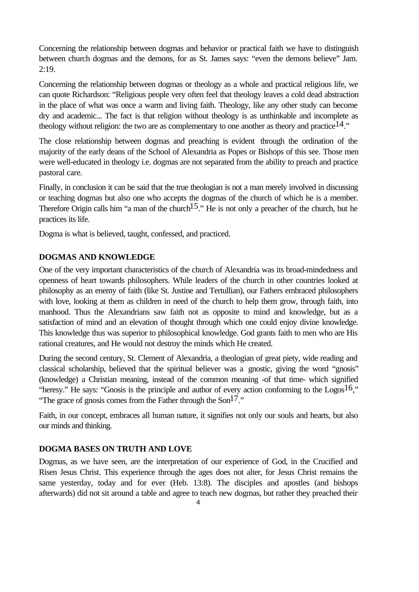Concerning the relationship between dogmas and behavior or practical faith we have to distinguish between church dogmas and the demons, for as St. James says: "even the demons believe" Jam. 2:19.

Concerning the relationship between dogmas or theology as a whole and practical religious life, we can quote Richardson: "Religious people very often feel that theology leaves a cold dead abstraction in the place of what was once a warm and living faith. Theology, like any other study can become dry and academic... The fact is that religion without theology is as unthinkable and incomplete as theology without religion: the two are as complementary to one another as theory and practice  $14$ ."

The close relationship between dogmas and preaching is evident through the ordination of the majority of the early deans of the School of Alexandria as Popes or Bishops of this see. Those men were well-educated in theology i.e. dogmas are not separated from the ability to preach and practice pastoral care.

Finally, in conclusion it can be said that the true theologian is not a man merely involved in discussing or teaching dogmas but also one who accepts the dogmas of the church of which he is a member. Therefore Origin calls him "a man of the church<sup>15</sup>." He is not only a preacher of the church, but he practices its life.

Dogma is what is believed, taught, confessed, and practiced.

### **DOGMAS AND KNOWLEDGE**

One of the very important characteristics of the church of Alexandria was its broad-mindedness and openness of heart towards philosophers. While leaders of the church in other countries looked at philosophy as an enemy of faith (like St. Justine and Tertullian), our Fathers embraced philosophers with love, looking at them as children in need of the church to help them grow, through faith, into manhood. Thus the Alexandrians saw faith not as opposite to mind and knowledge, but as a satisfaction of mind and an elevation of thought through which one could enjoy divine knowledge. This knowledge thus was superior to philosophical knowledge. God grants faith to men who are His rational creatures, and He would not destroy the minds which He created.

During the second century, St. Clement of Alexandria, a theologian of great piety, wide reading and classical scholarship, believed that the spiritual believer was a gnostic, giving the word "gnosis" (knowledge) a Christian meaning, instead of the common meaning -of that time- which signified "heresy." He says: "Gnosis is the principle and author of every action conforming to the Logos<sup>16</sup>," "The grace of gnosis comes from the Father through the  $\text{Son}^{17}$ ."

Faith, in our concept, embraces all human nature, it signifies not only our souls and hearts, but also our minds and thinking.

### **DOGMA BASES ON TRUTH AND LOVE**

Dogmas, as we have seen, are the interpretation of our experience of God, in the Crucified and Risen Jesus Christ. This experience through the ages does not alter, for Jesus Christ remains the same yesterday, today and for ever (Heb. 13:8). The disciples and apostles (and bishops afterwards) did not sit around a table and agree to teach new dogmas, but rather they preached their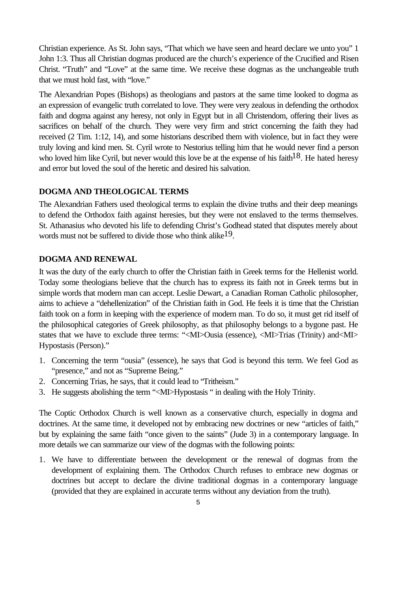Christian experience. As St. John says, "That which we have seen and heard declare we unto you" 1 John 1:3. Thus all Christian dogmas produced are the church's experience of the Crucified and Risen Christ. "Truth" and "Love" at the same time. We receive these dogmas as the unchangeable truth that we must hold fast, with "love."

The Alexandrian Popes (Bishops) as theologians and pastors at the same time looked to dogma as an expression of evangelic truth correlated to love. They were very zealous in defending the orthodox faith and dogma against any heresy, not only in Egypt but in all Christendom, offering their lives as sacrifices on behalf of the church. They were very firm and strict concerning the faith they had received (2 Tim. 1:12, 14), and some historians described them with violence, but in fact they were truly loving and kind men. St. Cyril wrote to Nestorius telling him that he would never find a person who loved him like Cyril, but never would this love be at the expense of his faith<sup>18</sup>. He hated heresy and error but loved the soul of the heretic and desired his salvation.

#### **DOGMA AND THEOLOGICAL TERMS**

The Alexandrian Fathers used theological terms to explain the divine truths and their deep meanings to defend the Orthodox faith against heresies, but they were not enslaved to the terms themselves. St. Athanasius who devoted his life to defending Christ's Godhead stated that disputes merely about words must not be suffered to divide those who think alike<sup>19</sup>.

### **DOGMA AND RENEWAL**

It was the duty of the early church to offer the Christian faith in Greek terms for the Hellenist world. Today some theologians believe that the church has to express its faith not in Greek terms but in simple words that modern man can accept. Leslie Dewart, a Canadian Roman Catholic philosopher, aims to achieve a "dehellenization" of the Christian faith in God. He feels it is time that the Christian faith took on a form in keeping with the experience of modern man. To do so, it must get rid itself of the philosophical categories of Greek philosophy, as that philosophy belongs to a bygone past. He states that we have to exclude three terms: "<MI>Ousia (essence), <MI>Trias (Trinity) and<MI> Hypostasis (Person)."

- 1. Concerning the term "ousia" (essence), he says that God is beyond this term. We feel God as "presence," and not as "Supreme Being."
- 2. Concerning Trias, he says, that it could lead to "Tritheism."
- 3. He suggests abolishing the term "<MI>Hypostasis " in dealing with the Holy Trinity.

The Coptic Orthodox Church is well known as a conservative church, especially in dogma and doctrines. At the same time, it developed not by embracing new doctrines or new "articles of faith," but by explaining the same faith "once given to the saints" (Jude 3) in a contemporary language. In more details we can summarize our view of the dogmas with the following points:

1. We have to differentiate between the development or the renewal of dogmas from the development of explaining them. The Orthodox Church refuses to embrace new dogmas or doctrines but accept to declare the divine traditional dogmas in a contemporary language (provided that they are explained in accurate terms without any deviation from the truth).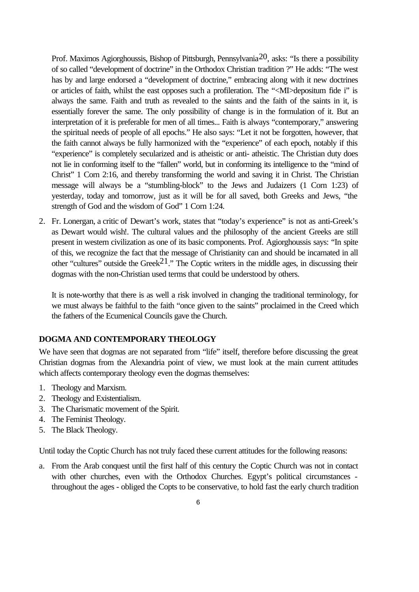Prof. Maximos Agiorghoussis, Bishop of Pittsburgh, Pennsylvania<sup>20</sup>, asks: "Is there a possibility of so called "development of doctrine" in the Orthodox Christian tradition ?" He adds: "The west has by and large endorsed a "development of doctrine," embracing along with it new doctrines or articles of faith, whilst the east opposes such a profileration. The "<MI>depositum fide i" is always the same. Faith and truth as revealed to the saints and the faith of the saints in it, is essentially forever the same. The only possibility of change is in the formulation of it. But an interpretation of it is preferable for men of all times... Faith is always "contemporary," answering the spiritual needs of people of all epochs." He also says: "Let it not be forgotten, however, that the faith cannot always be fully harmonized with the "experience" of each epoch, notably if this "experience" is completely secularized and is atheistic or anti- atheistic. The Christian duty does not lie in conforming itself to the "fallen" world, but in conforming its intelligence to the "mind of Christ" 1 Corn 2:16, and thereby transforming the world and saving it in Christ. The Christian message will always be a "stumbling-block" to the Jews and Judaizers (1 Corn 1:23) of yesterday, today and tomorrow, just as it will be for all saved, both Greeks and Jews, "the strength of God and the wisdom of God" 1 Corn 1:24.

2. Fr. Lonergan, a critic of Dewart's work, states that "today's experience" is not as anti-Greek's as Dewart would wish!. The cultural values and the philosophy of the ancient Greeks are still present in western civilization as one of its basic components. Prof. Agiorghoussis says: "In spite of this, we recognize the fact that the message of Christianity can and should be incarnated in all other "cultures" outside the Greek<sup>21</sup>." The Coptic writers in the middle ages, in discussing their dogmas with the non-Christian used terms that could be understood by others.

It is note-worthy that there is as well a risk involved in changing the traditional terminology, for we must always be faithful to the faith "once given to the saints" proclaimed in the Creed which the fathers of the Ecumenical Councils gave the Church.

## **DOGMA AND CONTEMPORARY THEOLOGY**

We have seen that dogmas are not separated from "life" itself, therefore before discussing the great Christian dogmas from the Alexandria point of view, we must look at the main current attitudes which affects contemporary theology even the dogmas themselves:

- 1. Theology and Marxism.
- 2. Theology and Existentialism.
- 3. The Charismatic movement of the Spirit.
- 4. The Feminist Theology.
- 5. The Black Theology.

Until today the Coptic Church has not truly faced these current attitudes for the following reasons:

a. From the Arab conquest until the first half of this century the Coptic Church was not in contact with other churches, even with the Orthodox Churches. Egypt's political circumstances throughout the ages - obliged the Copts to be conservative, to hold fast the early church tradition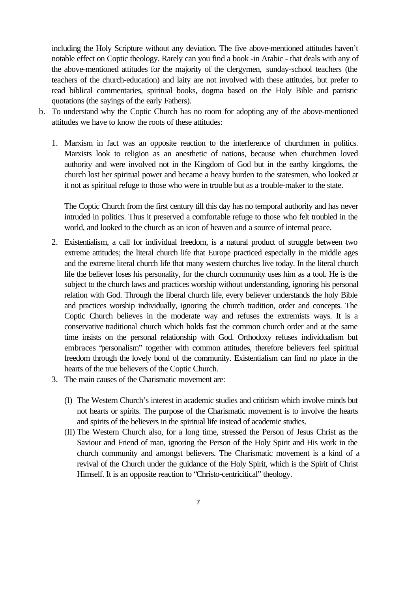including the Holy Scripture without any deviation. The five above-mentioned attitudes haven't notable effect on Coptic theology. Rarely can you find a book -in Arabic - that deals with any of the above-mentioned attitudes for the majority of the clergymen, sunday-school teachers (the teachers of the church-education) and laity are not involved with these attitudes, but prefer to read biblical commentaries, spiritual books, dogma based on the Holy Bible and patristic quotations (the sayings of the early Fathers).

- b. To understand why the Coptic Church has no room for adopting any of the above-mentioned attitudes we have to know the roots of these attitudes:
	- 1. Marxism in fact was an opposite reaction to the interference of churchmen in politics. Marxists look to religion as an anesthetic of nations, because when churchmen loved authority and were involved not in the Kingdom of God but in the earthy kingdoms, the church lost her spiritual power and became a heavy burden to the statesmen, who looked at it not as spiritual refuge to those who were in trouble but as a trouble-maker to the state.

The Coptic Church from the first century till this day has no temporal authority and has never intruded in politics. Thus it preserved a comfortable refuge to those who felt troubled in the world, and looked to the church as an icon of heaven and a source of internal peace.

- 2. Existentialism, a call for individual freedom, is a natural product of struggle between two extreme attitudes; the literal church life that Europe practiced especially in the middle ages and the extreme literal church life that many western churches live today. In the literal church life the believer loses his personality, for the church community uses him as a tool. He is the subject to the church laws and practices worship without understanding, ignoring his personal relation with God. Through the liberal church life, every believer understands the holy Bible and practices worship individually, ignoring the church tradition, order and concepts. The Coptic Church believes in the moderate way and refuses the extremists ways. It is a conservative traditional church which holds fast the common church order and at the same time insists on the personal relationship with God. Orthodoxy refuses individualism but embraces "personalism" together with common attitudes, therefore believers feel spiritual freedom through the lovely bond of the community. Existentialism can find no place in the hearts of the true believers of the Coptic Church.
- 3. The main causes of the Charismatic movement are:
	- (I) The Western Church's interest in academic studies and criticism which involve minds but not hearts or spirits. The purpose of the Charismatic movement is to involve the hearts and spirits of the believers in the spiritual life instead of academic studies.
	- (II) The Western Church also, for a long time, stressed the Person of Jesus Christ as the Saviour and Friend of man, ignoring the Person of the Holy Spirit and His work in the church community and amongst believers. The Charismatic movement is a kind of a revival of the Church under the guidance of the Holy Spirit, which is the Spirit of Christ Himself. It is an opposite reaction to "Christo-centricitical" theology.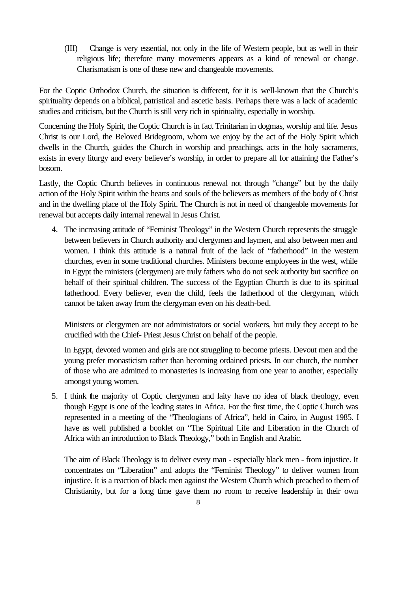(III) Change is very essential, not only in the life of Western people, but as well in their religious life; therefore many movements appears as a kind of renewal or change. Charismatism is one of these new and changeable movements.

For the Coptic Orthodox Church, the situation is different, for it is well-known that the Church's spirituality depends on a biblical, patristical and ascetic basis. Perhaps there was a lack of academic studies and criticism, but the Church is still very rich in spirituality, especially in worship.

Concerning the Holy Spirit, the Coptic Church is in fact Trinitarian in dogmas, worship and life. Jesus Christ is our Lord, the Beloved Bridegroom, whom we enjoy by the act of the Holy Spirit which dwells in the Church, guides the Church in worship and preachings, acts in the holy sacraments, exists in every liturgy and every believer's worship, in order to prepare all for attaining the Father's bosom.

Lastly, the Coptic Church believes in continuous renewal not through "change" but by the daily action of the Holy Spirit within the hearts and souls of the believers as members of the body of Christ and in the dwelling place of the Holy Spirit. The Church is not in need of changeable movements for renewal but accepts daily internal renewal in Jesus Christ.

4. The increasing attitude of "Feminist Theology" in the Western Church represents the struggle between believers in Church authority and clergymen and laymen, and also between men and women. I think this attitude is a natural fruit of the lack of "fatherhood" in the western churches, even in some traditional churches. Ministers become employees in the west, while in Egypt the ministers (clergymen) are truly fathers who do not seek authority but sacrifice on behalf of their spiritual children. The success of the Egyptian Church is due to its spiritual fatherhood. Every believer, even the child, feels the fatherhood of the clergyman, which cannot be taken away from the clergyman even on his death-bed.

Ministers or clergymen are not administrators or social workers, but truly they accept to be crucified with the Chief- Priest Jesus Christ on behalf of the people.

In Egypt, devoted women and girls are not struggling to become priests. Devout men and the young prefer monasticism rather than becoming ordained priests. In our church, the number of those who are admitted to monasteries is increasing from one year to another, especially amongst young women.

5. I think the majority of Coptic clergymen and laity have no idea of black theology, even though Egypt is one of the leading states in Africa. For the first time, the Coptic Church was represented in a meeting of the "Theologians of Africa", held in Cairo, in August 1985. I have as well published a booklet on "The Spiritual Life and Liberation in the Church of Africa with an introduction to Black Theology," both in English and Arabic.

The aim of Black Theology is to deliver every man - especially black men - from injustice. It concentrates on "Liberation" and adopts the "Feminist Theology" to deliver women from injustice. It is a reaction of black men against the Western Church which preached to them of Christianity, but for a long time gave them no room to receive leadership in their own